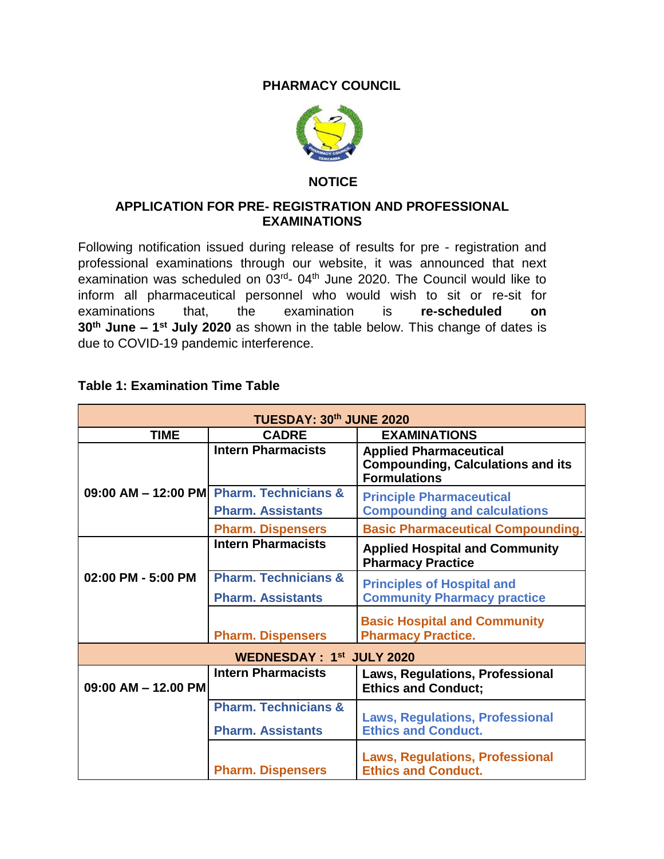## **PHARMACY COUNCIL**



## **NOTICE**

## **APPLICATION FOR PRE- REGISTRATION AND PROFESSIONAL EXAMINATIONS**

Following notification issued during release of results for pre - registration and professional examinations through our website, it was announced that next examination was scheduled on 03<sup>rd</sup>- 04<sup>th</sup> June 2020. The Council would like to inform all pharmaceutical personnel who would wish to sit or re-sit for examinations that, the examination is **re-scheduled on 30th June – 1 st July 2020** as shown in the table below. This change of dates is due to COVID-19 pandemic interference.

|  |  | Table 1: Examination Time Table |  |  |
|--|--|---------------------------------|--|--|
|--|--|---------------------------------|--|--|

| TUESDAY: 30th JUNE 2020         |                                                                      |                                                                                                  |  |  |
|---------------------------------|----------------------------------------------------------------------|--------------------------------------------------------------------------------------------------|--|--|
| <b>TIME</b>                     | <b>CADRE</b>                                                         | <b>EXAMINATIONS</b>                                                                              |  |  |
|                                 | <b>Intern Pharmacists</b>                                            | <b>Applied Pharmaceutical</b><br><b>Compounding, Calculations and its</b><br><b>Formulations</b> |  |  |
|                                 | 09:00 AM - 12:00 PM Pharm. Technicians &<br><b>Pharm. Assistants</b> | <b>Principle Pharmaceutical</b><br><b>Compounding and calculations</b>                           |  |  |
|                                 | <b>Pharm. Dispensers</b>                                             | <b>Basic Pharmaceutical Compounding.</b>                                                         |  |  |
|                                 | <b>Intern Pharmacists</b>                                            | <b>Applied Hospital and Community</b><br><b>Pharmacy Practice</b>                                |  |  |
| 02:00 PM - 5:00 PM              | <b>Pharm. Technicians &amp;</b><br><b>Pharm. Assistants</b>          | <b>Principles of Hospital and</b><br><b>Community Pharmacy practice</b>                          |  |  |
|                                 | <b>Pharm. Dispensers</b>                                             | <b>Basic Hospital and Community</b><br><b>Pharmacy Practice.</b>                                 |  |  |
| <b>WEDNESDAY: 1st JULY 2020</b> |                                                                      |                                                                                                  |  |  |
| $09:00$ AM $-$ 12.00 PM         | <b>Intern Pharmacists</b>                                            | <b>Laws, Regulations, Professional</b><br><b>Ethics and Conduct;</b>                             |  |  |
|                                 | <b>Pharm. Technicians &amp;</b><br><b>Pharm. Assistants</b>          | <b>Laws, Regulations, Professional</b><br><b>Ethics and Conduct.</b>                             |  |  |
|                                 | <b>Pharm. Dispensers</b>                                             | <b>Laws, Regulations, Professional</b><br><b>Ethics and Conduct.</b>                             |  |  |